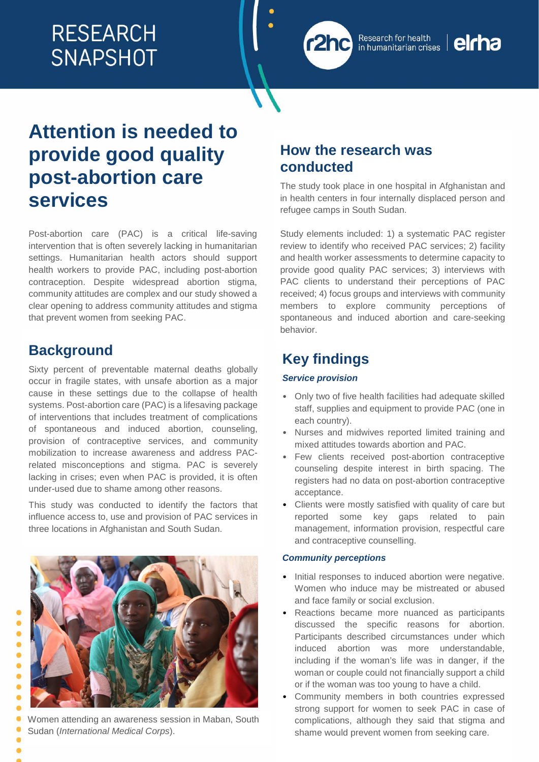# **RESEARCH SNAPSHOT**



# **Attention is needed to provide good quality post-abortion care services**

Post-abortion care (PAC) is a critical life-saving intervention that is often severely lacking in humanitarian settings. Humanitarian health actors should support health workers to provide PAC, including post-abortion contraception. Despite widespread abortion stigma, community attitudes are complex and our study showed a clear opening to address community attitudes and stigma that prevent women from seeking PAC.

# **Background**

ö  $\bullet$  $\bullet$ 0

Ō

 $\bullet$ Ō

Sixty percent of preventable maternal deaths globally occur in fragile states, with unsafe abortion as a major cause in these settings due to the collapse of health systems. Post-abortion care (PAC) is a lifesaving package of interventions that includes treatment of complications of spontaneous and induced abortion, counseling, provision of contraceptive services, and community mobilization to increase awareness and address PACrelated misconceptions and stigma. PAC is severely lacking in crises; even when PAC is provided, it is often under-used due to shame among other reasons.

This study was conducted to identify the factors that influence access to, use and provision of PAC services in three locations in Afghanistan and South Sudan.



# **How the research was conducted**

The study took place in one hospital in Afghanistan and in health centers in four internally displaced person and refugee camps in South Sudan.

Study elements included: 1) a systematic PAC register review to identify who received PAC services; 2) facility and health worker assessments to determine capacity to provide good quality PAC services; 3) interviews with PAC clients to understand their perceptions of PAC received; 4) focus groups and interviews with community members to explore community perceptions of spontaneous and induced abortion and care-seeking behavior.

# **Key findings**

#### *Service provision*

- Only two of five health facilities had adequate skilled staff, supplies and equipment to provide PAC (one in each country).
- Nurses and midwives reported limited training and mixed attitudes towards abortion and PAC.
- Few clients received post-abortion contraceptive counseling despite interest in birth spacing. The registers had no data on post-abortion contraceptive acceptance.
- Clients were mostly satisfied with quality of care but reported some key gaps related to pain management, information provision, respectful care and contraceptive counselling.

#### *Community perceptions*

- Initial responses to induced abortion were negative. Women who induce may be mistreated or abused and face family or social exclusion.
- Reactions became more nuanced as participants discussed the specific reasons for abortion. Participants described circumstances under which induced abortion was more understandable, including if the woman's life was in danger, if the woman or couple could not financially support a child or if the woman was too young to have a child.
- Community members in both countries expressed strong support for women to seek PAC in case of complications, although they said that stigma and shame would prevent women from seeking care.